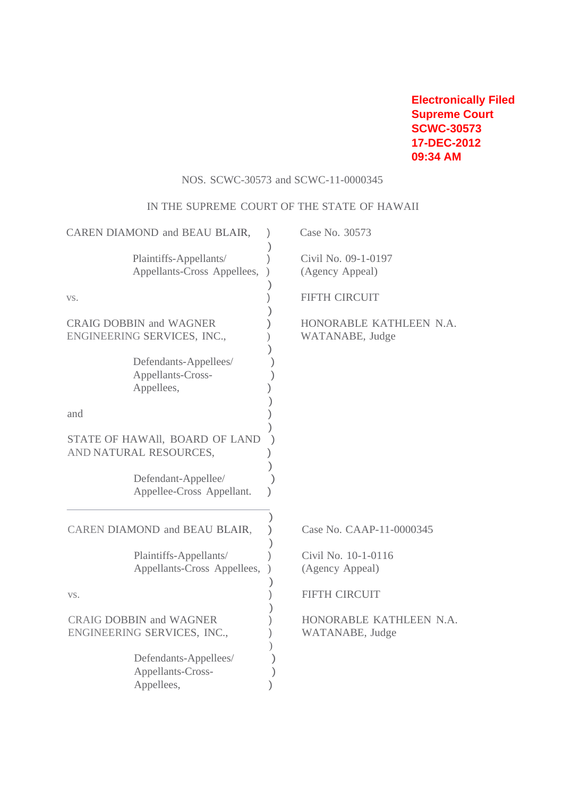**Electronically Filed Supreme Court SCWC-30573 17-DEC-2012 09:34 AM**

# NOS. SCWC-30573 and SCWC-11-0000345

## IN THE SUPREME COURT OF THE STATE OF HAWAII

| CAREN DIAMOND and BEAU BLAIR,                                 | Case No. 30573                             |
|---------------------------------------------------------------|--------------------------------------------|
| Plaintiffs-Appellants/<br>Appellants-Cross Appellees,         | Civil No. 09-1-0197<br>(Agency Appeal)     |
| VS.                                                           | FIFTH CIRCUIT                              |
| <b>CRAIG DOBBIN and WAGNER</b><br>ENGINEERING SERVICES, INC., | HONORABLE KATHLEEN N.A.<br>WATANABE, Judge |
| Defendants-Appellees/<br>Appellants-Cross-<br>Appellees,      |                                            |
| and                                                           |                                            |
| STATE OF HAWAII, BOARD OF LAND<br>AND NATURAL RESOURCES,      |                                            |
| Defendant-Appellee/<br>Appellee-Cross Appellant.              |                                            |
| CAREN DIAMOND and BEAU BLAIR,                                 | Case No. CAAP-11-0000345                   |
| Plaintiffs-Appellants/<br>Appellants-Cross Appellees,         | Civil No. 10-1-0116<br>(Agency Appeal)     |
| VS.                                                           | FIFTH CIRCUIT                              |
| <b>CRAIG DOBBIN and WAGNER</b><br>ENGINEERING SERVICES, INC., | HONORABLE KATHLEEN N.A.<br>WATANABE, Judge |
| Defendants-Appellees/<br>Appellants-Cross-<br>Appellees,      |                                            |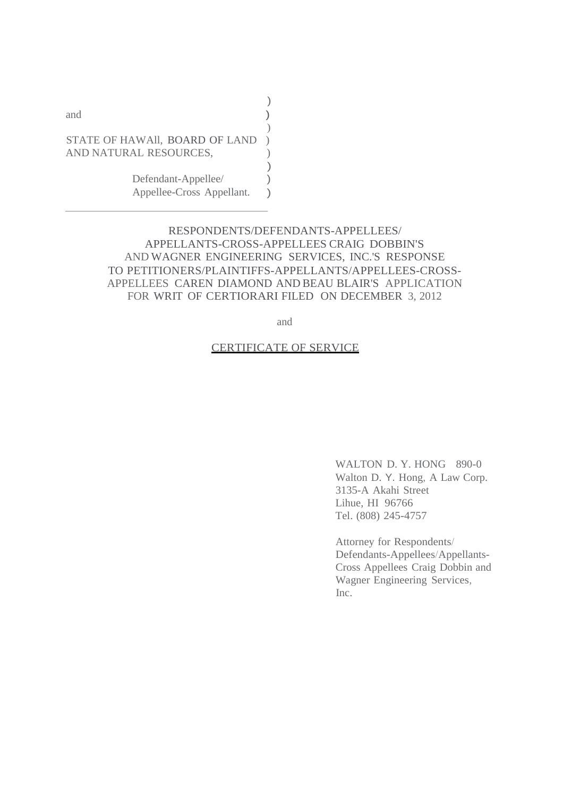| and                                                      |  |
|----------------------------------------------------------|--|
| STATE OF HAWAII, BOARD OF LAND<br>AND NATURAL RESOURCES, |  |
| Defendant-Appellee/<br>Appellee-Cross Appellant.         |  |

## RESPONDENTS/DEFENDANTS-APPELLEES/ APPELLANTS-CROSS-APPELLEES CRAIG DOBBIN'S AND WAGNER ENGINEERING SERVICES, INC.'S RESPONSE TO PETITIONERS/PLAINTIFFS-APPELLANTS/APPELLEES-CROSS-APPELLEES CAREN DIAMOND AND BEAU BLAIR'S APPLICATION FOR WRIT OF CERTIORARI FILED ON DECEMBER 3, 2012

 $\lambda$ 

and

## CERTIFICATE OF SERVICE

WALTON D.Y. HONG 890-0 Walton D. Y. Hong, A Law Corp. 3135-A Akahi Street Lihue, HI 96766 Tel. (808) 245-4757

Attorney for Respondents/ Defendants-Appellees/Appellants-Cross Appellees Craig Dobbin and Wagner Engineering Services, Inc.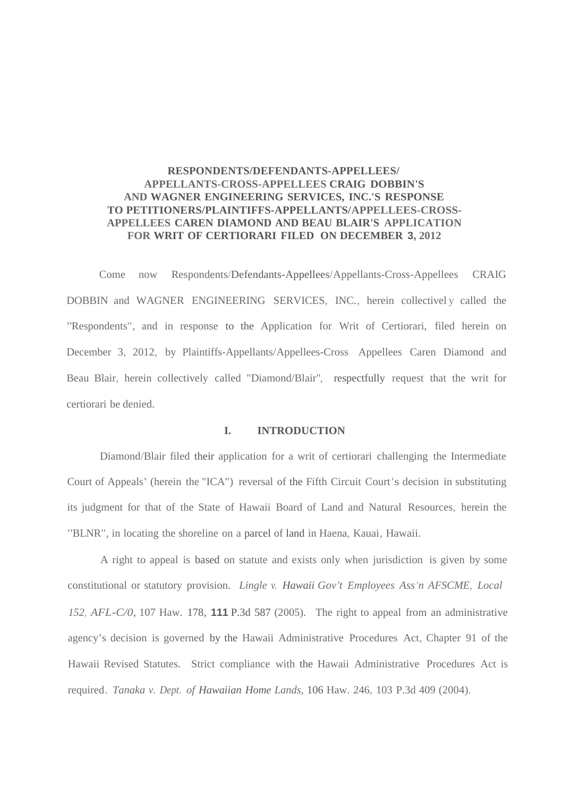## **RESPONDENTS/DEFENDANTS-APPELLEES/ APPELLANTS-CROSS-APPELLEES CRAIG DOBBIN'S AND WAGNER ENGINEERING SERVICES, INC.'S RESPONSE TO PETITIONERS/PLAINTIFFS-APPELLANTS/APPELLEES-CROSS-APPELLEES CAREN DIAMOND AND BEAU BLAIR'S APPLICATION FOR WRIT OF CERTIORARI FILED ON DECEMBER 3, 2012**

Come now Respondents/Defendants-Appellees/Appellants-Cross-Appellees CRAIG DOBBIN and WAGNER ENGINEERING SERVICES, INC., herein collectivel y called the "Respondents", and in response to the Application for Writ of Certiorari, filed herein on December 3, 2012, by Plaintiffs-Appellants/Appellees-Cross Appellees Caren Diamond and Beau Blair, herein collectively called "Diamond/Blair", respectfully request that the writ for certiorari be denied.

## **I. INTRODUCTION**

Diamond/Blair filed their application for a writ of certiorari challenging the Intermediate Court of Appeals' (herein the "ICA") reversal of the Fifth Circuit Court's decision in substituting its judgment for that of the State of Hawaii Board of Land and Natural Resources, herein the "BLNR", in locating the shoreline on a parcel of land in Haena, Kauai, Hawaii.

A right to appeal is based on statute and exists only when jurisdiction is given by some constitutional or statutory provision. *Lingle v. Hawaii Gov't Employees Ass'n AFSCME, Local 152, AFL-C/0,* 107 Haw. 178, **111** P.3d 587 (2005). The right to appeal from an administrative agency's decision is governed by the Hawaii Administrative Procedures Act, Chapter 91 of the Hawaii Revised Statutes. Strict compliance with the Hawaii Administrative Procedures Act is required. *Tanaka v. Dept. of Hawaiian Home Lands,* 106 Haw. 246, 103 P.3d 409 (2004).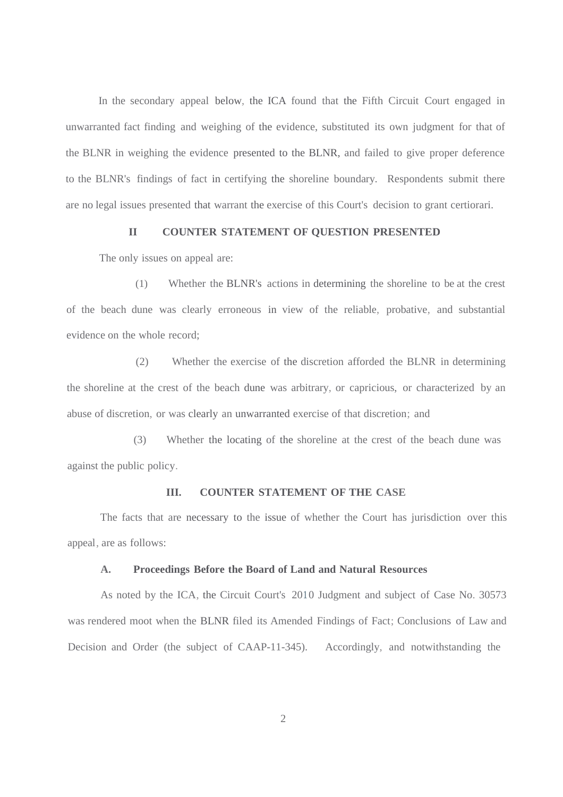In the secondary appeal below, the ICA found that the Fifth Circuit Court engaged in unwarranted fact finding and weighing of the evidence, substituted its own judgment for that of the BLNR in weighing the evidence presented to the BLNR, and failed to give proper deference to the BLNR's findings of fact in certifying the shoreline boundary. Respondents submit there are no legal issues presented that warrant the exercise of this Court's decision to grant certiorari.

### **II COUNTER STATEMENT OF QUESTION PRESENTED**

The only issues on appeal are:

(1) Whether the BLNR's actions in determining the shoreline to be at the crest of the beach dune was clearly erroneous in view of the reliable, probative, and substantial evidence on the whole record;

(2) Whether the exercise of the discretion afforded the BLNR in determining the shoreline at the crest of the beach dune was arbitrary, or capricious, or characterized by an abuse of discretion, or was clearly an unwarranted exercise of that discretion; and

(3) Whether the locating of the shoreline at the crest of the beach dune was against the public policy.

## **III. COUNTER STATEMENT OF THE CASE**

The facts that are necessary to the issue of whether the Court has jurisdiction over this appeal, are as follows:

#### **A. Proceedings Before the Board of Land and Natural Resources**

As noted by the ICA, the Circuit Court's 2010 Judgment and subject of Case No. 30573 was rendered moot when the BLNR filed its Amended Findings of Fact; Conclusions of Law and Decision and Order (the subject of CAAP-11-345). Accordingly, and notwithstanding the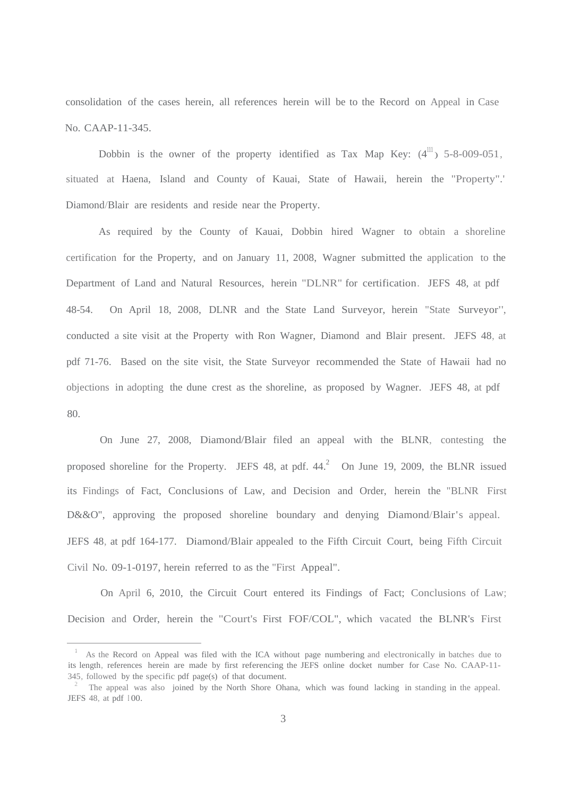consolidation of the cases herein, all references herein will be to the Record on Appeal in Case No. CAAP-11-345.

Dobbin is the owner of the property identified as Tax Map Key:  $(4^{\text{III}})$  5-8-009-051, situated at Haena, Island and County of Kauai, State of Hawaii, herein the "Property".' Diamond/Blair are residents and reside near the Property.

As required by the County of Kauai, Dobbin hired Wagner to obtain a shoreline certification for the Property, and on January 11, 2008, Wagner submitted the application to the Department of Land and Natural Resources, herein "DLNR" for certification. JEFS 48, at pdf 48-54. On April 18, 2008, DLNR and the State Land Surveyor, herein "State Surveyor", conducted a site visit at the Property with Ron Wagner, Diamond and Blair present. JEFS 48, at pdf 71-76. Based on the site visit, the State Surveyor recommended the State of Hawaii had no objections in adopting the dune crest as the shoreline, as proposed by Wagner. JEFS 48, at pdf 80.

On June 27, 2008, Diamond/Blair filed an appeal with the BLNR, contesting the proposed shoreline for the Property. JEFS 48, at pdf.  $44<sup>2</sup>$  On June 19, 2009, the BLNR issued its Findings of Fact, Conclusions of Law, and Decision and Order, herein the "BLNR First D&&O", approving the proposed shoreline boundary and denying Diamond/Blair's appeal. JEFS 48, at pdf 164-177. Diamond/Blair appealed to the Fifth Circuit Court, being Fifth Circuit Civil No. 09-1-0197, herein referred to as the "First Appeal".

On April 6, 2010, the Circuit Court entered its Findings of Fact; Conclusions of Law; Decision and Order, herein the "Court's First FOF/COL", which vacated the BLNR's First

<sup>&</sup>lt;sup>1</sup> As the Record on Appeal was filed with the ICA without page numbering and electronically in batches due to its length, references herein are made by first referencing the JEFS online docket number for Case No. CAAP-11- 345, followed by the specific pdf page(s) of that document.

<sup>2</sup> The appeal was also joined by the North Shore Ohana, which was found lacking in standing in the appeal. JEFS 48, at pdf 100.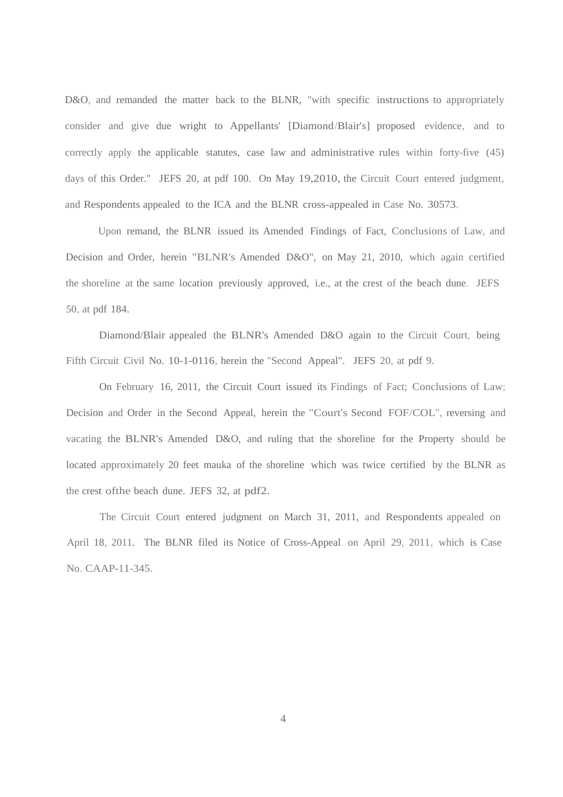D&O, and remanded the matter back to the BLNR, "with specific instructions to appropriately consider and give due wright to Appellants' [Diamond/Blair's] proposed evidence, and to correctly apply the applicable statutes, case law and administrative rules within forty-five (45) days of this Order." JEFS 20, at pdf 100. On May 19,2010, the Circuit Court entered judgment, and Respondents appealed to the ICA and the BLNR cross-appealed in Case No. 30573.

Upon remand, the BLNR issued its Amended Findings of Fact, Conclusions of Law, and Decision and Order, herein "BLNR's Amended D&O", on May 21, 2010, which again certified the shoreline at the same location previously approved, i.e., at the crest of the beach dune. JEFS 50, at pdf 184.

Diamond/Blair appealed the BLNR's Amended D&O again to the Circuit Court, being Fifth Circuit Civil No. 10-1-0116, herein the "Second Appeal". JEFS 20, at pdf 9.

On February 16, 2011, the Circuit Court issued its Findings of Fact; Conclusions of Law; Decision and Order in the Second Appeal, herein the "Court's Second FOF/COL", reversing and vacating the BLNR's Amended D&O, and ruling that the shoreline for the Property should be located approximately 20 feet mauka of the shoreline which was twice certified by the BLNR as the crest ofthe beach dune. JEFS 32, at pdf2.

The Circuit Court entered judgment on March 31, 2011, and Respondents appealed on April 18, 2011. The BLNR filed its Notice of Cross-Appeal on April 29, 2011, which is Case No. CAAP-11-345.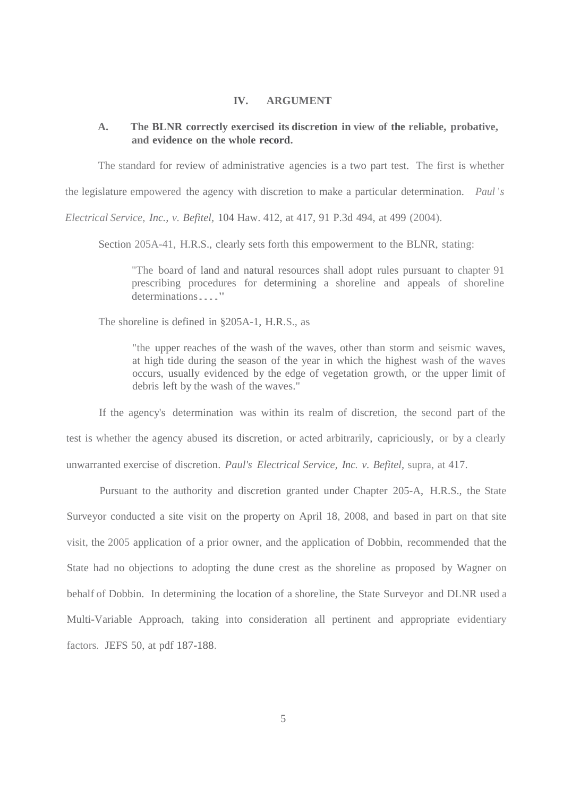### **IV. ARGUMENT**

## **A. The BLNR correctly exercised its discretion in view of the reliable, probative, and evidence on the whole record.**

The standard for review of administrative agencies is a two part test. The first is whether

the legislature empowered the agency with discretion to make a particular determination. *Paul 's* 

*Electrical Service, Inc., v. Befitel,* 104 Haw. 412, at 417, 91 P.3d 494, at 499 (2004).

Section 205A-41, H.R.S., clearly sets forth this empowerment to the BLNR, stating:

"The board of land and natural resources shall adopt rules pursuant to chapter 91 prescribing procedures for determining a shoreline and appeals of shoreline determinations...."

The shoreline is defined in §205A-1, H.R.S., as

"the upper reaches of the wash of the waves, other than storm and seismic waves, at high tide during the season of the year in which the highest wash of the waves occurs, usually evidenced by the edge of vegetation growth, or the upper limit of debris left by the wash of the waves."

If the agency's determination was within its realm of discretion, the second part of the test is whether the agency abused its discretion, or acted arbitrarily, capriciously, or by a clearly unwarranted exercise of discretion. *Paul's Electrical Service, Inc. v. Befitel,* supra, at 417.

Pursuant to the authority and discretion granted under Chapter 205-A, H.R.S., the State Surveyor conducted a site visit on the property on April 18, 2008, and based in part on that site visit, the 2005 application of a prior owner, and the application of Dobbin, recommended that the State had no objections to adopting the dune crest as the shoreline as proposed by Wagner on behalf of Dobbin. In determining the location of a shoreline, the State Surveyor and DLNR used a Multi-Variable Approach, taking into consideration all pertinent and appropriate evidentiary factors. JEFS 50, at pdf 187-188.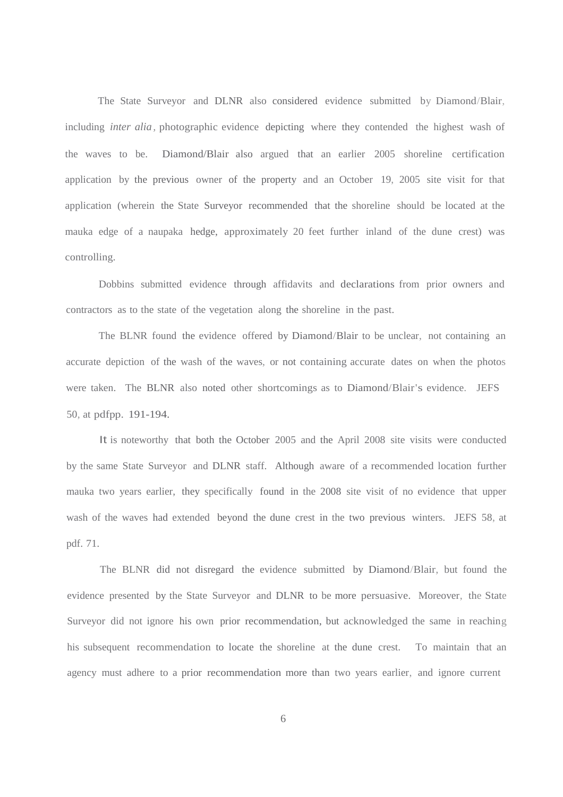The State Surveyor and DLNR also considered evidence submitted by Diamond/Blair, including *inter alia,* photographic evidence depicting where they contended the highest wash of the waves to be. Diamond/Blair also argued that an earlier 2005 shoreline certification application by the previous owner of the property and an October 19, 2005 site visit for that application (wherein the State Surveyor recommended that the shoreline should be located at the mauka edge of a naupaka hedge, approximately 20 feet further inland of the dune crest) was controlling.

Dobbins submitted evidence through affidavits and declarations from prior owners and contractors as to the state of the vegetation along the shoreline in the past.

The BLNR found the evidence offered by Diamond/Blair to be unclear, not containing an accurate depiction of the wash of the waves, or not containing accurate dates on when the photos were taken. The BLNR also noted other shortcomings as to Diamond/Blair's evidence. JEFS 50, at pdfpp. 191-194.

It is noteworthy that both the October 2005 and the April 2008 site visits were conducted by the same State Surveyor and DLNR staff. Although aware of a recommended location further mauka two years earlier, they specifically found in the 2008 site visit of no evidence that upper wash of the waves had extended beyond the dune crest in the two previous winters. JEFS 58, at pdf. 71.

The BLNR did not disregard the evidence submitted by Diamond/Blair, but found the evidence presented by the State Surveyor and DLNR to be more persuasive. Moreover, the State Surveyor did not ignore his own prior recommendation, but acknowledged the same in reaching his subsequent recommendation to locate the shoreline at the dune crest. To maintain that an agency must adhere to a prior recommendation more than two years earlier, and ignore current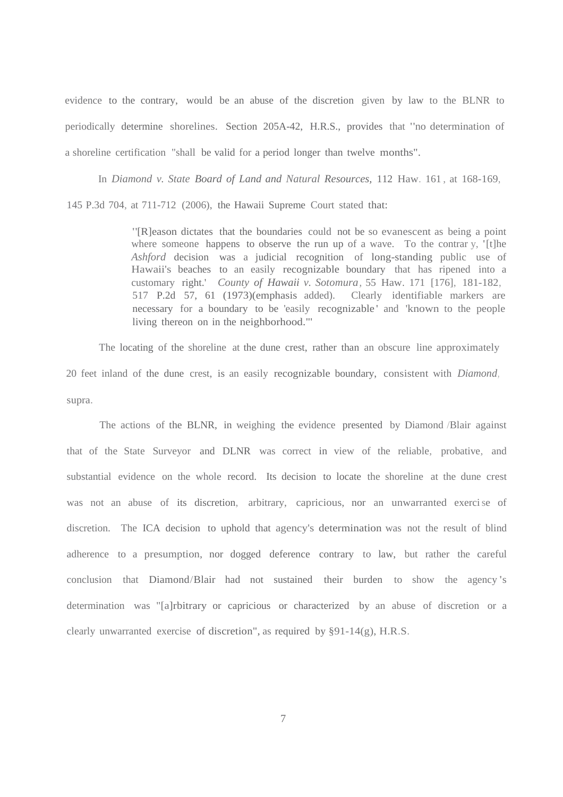evidence to the contrary, would be an abuse of the discretion given by law to the BLNR to periodically determine shorelines. Section 205A-42, H.R.S., provides that "no determination of a shoreline certification "shall be valid for a period longer than twelve months".

In *Diamond v. State Board of Land and Natural Resources,* 112 Haw. 161 , at 168-169,

145 P.3d 704, at 711-712 (2006), the Hawaii Supreme Court stated that:

"[R]eason dictates that the boundaries could not be so evanescent as being <sup>a</sup> point where someone happens to observe the run up of a wave. To the contrar y, '[t]he *Ashford* decision was a judicial recognition of long-standing public use of Hawaii's beaches to an easily recognizable boundary that has ripened into a customary right.' *County of Hawaii v. Sotomura,* 55 Haw. 171 [176], 181-182, 517 P.2d 57, 61 (1973)(emphasis added). Clearly identifiable markers are necessary for a boundary to be 'easily recognizable' and 'known to the people living thereon on in the neighborhood."'

The locating of the shoreline at the dune crest, rather than an obscure line approximately 20 feet inland of the dune crest, is an easily recognizable boundary, consistent with *Diamond,* supra.

The actions of the BLNR, in weighing the evidence presented by Diamond /Blair against that of the State Surveyor and DLNR was correct in view of the reliable, probative, and substantial evidence on the whole record. Its decision to locate the shoreline at the dune crest was not an abuse of its discretion, arbitrary, capricious, nor an unwarranted exercise of discretion. The ICA decision to uphold that agency's determination was not the result of blind adherence to a presumption, nor dogged deference contrary to law, but rather the careful conclusion that Diamond/Blair had not sustained their burden to show the agency 's determination was "[a]rbitrary or capricious or characterized by an abuse of discretion or a clearly unwarranted exercise of discretion", as required by §91-14(g), H.R.S.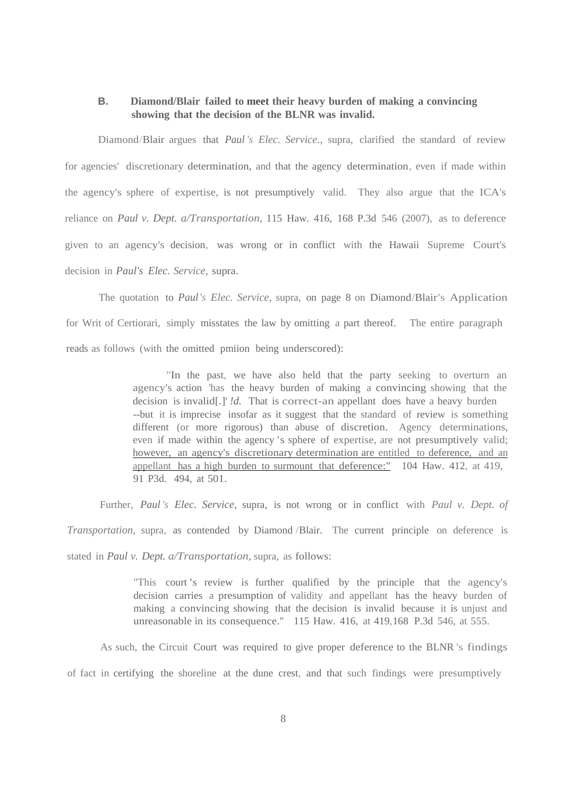## **B. Diamond/Blair failed to meet their heavy burden of making a convincing showing that the decision of the BLNR was invalid.**

Diamond/Blair argues that *Paul 's Elec. Service.,* supra, clarified the standard of review for agencies' discretionary determination, and that the agency determination, even if made within the agency's sphere of expertise, is not presumptively valid. They also argue that the ICA's reliance on *Paul v. Dept. a/Transportation,* 115 Haw. 416, 168 P.3d 546 (2007), as to deference given to an agency's decision, was wrong or in conflict with the Hawaii Supreme Court's decision in *Paul's Elec. Service,* supra.

The quotation to *Paul's Elec. Service,* supra, on page 8 on Diamond/Blair's Application for Writ of Certiorari, simply misstates the law by omitting a part thereof. The entire paragraph reads as follows (with the omitted pmiion being underscored):

> "In the past, we have also held that the party seeking to overturn an agency's action 'has the heavy burden of making a convincing showing that the decision is invalid[.]' *!d.* That is correct-an appellant does have a heavy burden --but it is imprecise insofar as it suggest that the standard of review is something different (or more rigorous) than abuse of discretion. Agency determinations, even if made within the agency 's sphere of expertise, are not presumptively valid; however, an agency's discretionary determination are entitled to deference, and an appellant has a high burden to surmount that deference:" 104 Haw. 412, at 419, 91 P3d. 494, at 501.

Further, *Paul 's Elec. Service,* supra, is not wrong or in conflict with *Paul v. Dept. of* 

*Transportation,* supra, as contended by Diamond /Blair. The current principle on deference is

stated in *Paul v. Dept. a/Transportation,* supra, as follows:

"This court 's review is further qualified by the principle that the agency's decision carries a presumption of validity and appellant has the heavy burden of making a convincing showing that the decision is invalid because it is unjust and unreasonable in its consequence." 115 Haw. 416, at 419,168 P.3d 546, at 555.

As such, the Circuit Court was required to give proper deference to the BLNR 's findings of fact in certifying the shoreline at the dune crest, and that such findings were presumptively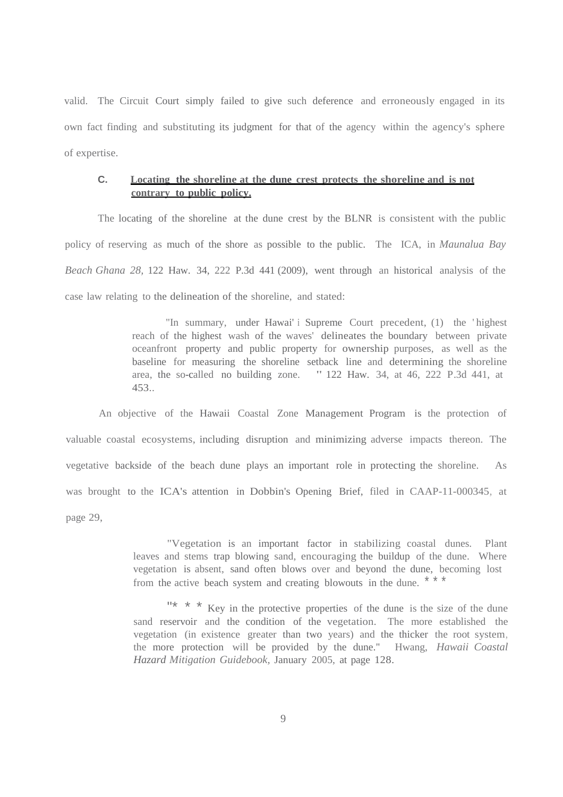valid. The Circuit Court simply failed to give such deference and erroneously engaged in its own fact finding and substituting its judgment for that of the agency within the agency's sphere of expertise.

## **C. Locating the shoreline at the dune crest protects the shoreline and is not contrary to public policy.**

The locating of the shoreline at the dune crest by the BLNR is consistent with the public policy of reserving as much of the shore as possible to the public. The ICA, in *Maunalua Bay Beach Ghana 28,* 122 Haw. 34, 222 P.3d 441 (2009), went through an historical analysis of the case law relating to the delineation of the shoreline, and stated:

> "In summary, under Hawai' i Supreme Court precedent, (1) the 'highest reach of the highest wash of the waves' delineates the boundary between private oceanfront property and public property for ownership purposes, as well as the baseline for measuring the shoreline setback line and determining the shoreline area, the so-called no building zone. " 122 Haw. 34, at 46, 222 P.3d 441, at 453..

An objective of the Hawaii Coastal Zone Management Program is the protection of valuable coastal ecosystems, including disruption and minimizing adverse impacts thereon. The vegetative backside of the beach dune plays an important role in protecting the shoreline. As was brought to the ICA's attention in Dobbin's Opening Brief, filed in CAAP-11-000345, at page 29,

> "Vegetation is an important factor in stabilizing coastal dunes. Plant leaves and stems trap blowing sand, encouraging the buildup of the dune. Where vegetation is absent, sand often blows over and beyond the dune, becoming lost from the active beach system and creating blowouts in the dune. \*\*\*

> "\* \* \* Key in the protective properties of the dune is the size of the dune sand reservoir and the condition of the vegetation. The more established the vegetation (in existence greater than two years) and the thicker the root system, the more protection will be provided by the dune." Hwang, *Hawaii Coastal Hazard Mitigation Guidebook,* January 2005, at page 128.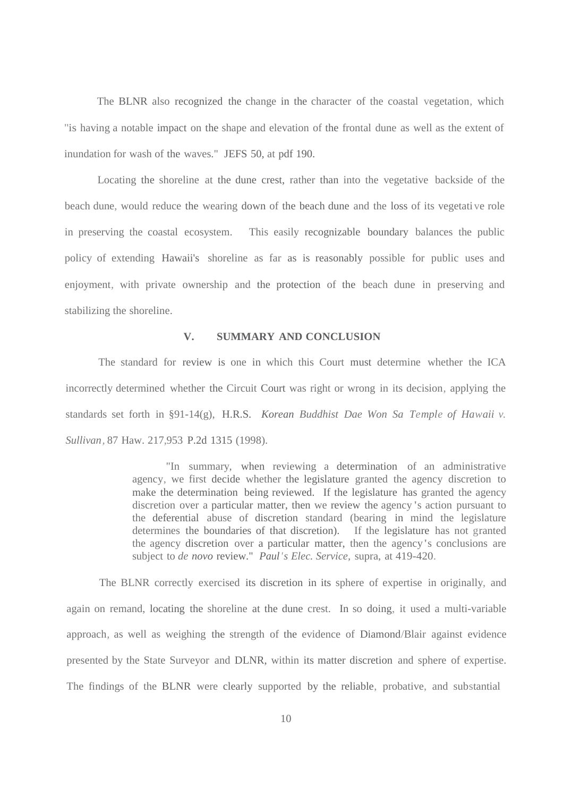The BLNR also recognized the change in the character of the coastal vegetation, which "is having a notable impact on the shape and elevation of the frontal dune as well as the extent of inundation for wash of the waves." JEFS 50, at pdf 190.

Locating the shoreline at the dune crest, rather than into the vegetative backside of the beach dune, would reduce the wearing down of the beach dune and the loss of its vegetative role in preserving the coastal ecosystem. This easily recognizable boundary balances the public policy of extending Hawaii's shoreline as far as is reasonably possible for public uses and enjoyment, with private ownership and the protection of the beach dune in preserving and stabilizing the shoreline.

## **V. SUMMARY AND CONCLUSION**

The standard for review is one in which this Court must determine whether the ICA incorrectly determined whether the Circuit Court was right or wrong in its decision, applying the standards set forth in §91-14(g), H.R.S. *Korean Buddhist Dae Won Sa Temple of Hawaii v. Sullivan,* 87 Haw. 217,953 P.2d 1315 (1998).

> "In summary, when reviewing a determination of an administrative agency, we first decide whether the legislature granted the agency discretion to make the determination being reviewed. If the legislature has granted the agency discretion over a particular matter, then we review the agency 's action pursuant to the deferential abuse of discretion standard (bearing in mind the legislature determines the boundaries of that discretion). If the legislature has not granted the agency discretion over a particular matter, then the agency's conclusions are subject to *de novo* review." *Paul's Elec. Service,* supra, at 419-420.

The BLNR correctly exercised its discretion in its sphere of expertise in originally, and again on remand, locating the shoreline at the dune crest. In so doing, it used a multi-variable approach, as well as weighing the strength of the evidence of Diamond/Blair against evidence presented by the State Surveyor and DLNR, within its matter discretion and sphere of expertise. The findings of the BLNR were clearly supported by the reliable, probative, and substantial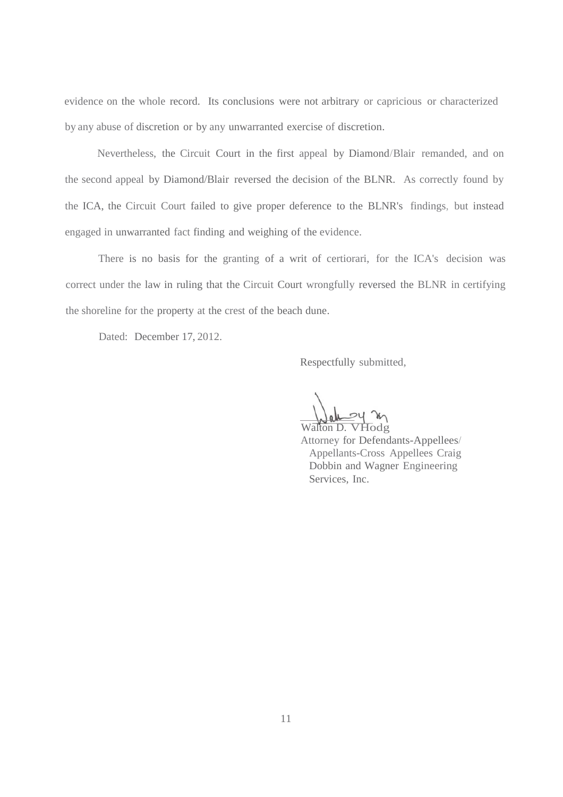evidence on the whole record. Its conclusions were not arbitrary or capricious or characterized by any abuse of discretion or by any unwarranted exercise of discretion.

Nevertheless, the Circuit Court in the first appeal by Diamond/Blair remanded, and on the second appeal by Diamond/Blair reversed the decision of the BLNR. As correctly found by the ICA, the Circuit Court failed to give proper deference to the BLNR's findings, but instead engaged in unwarranted fact finding and weighing of the evidence.

There is no basis for the granting of a writ of certiorari, for the ICA's decision was correct under the law in ruling that the Circuit Court wrongfully reversed the BLNR in certifying the shoreline for the property at the crest of the beach dune.

Dated: December 17, 2012.

Respectfully submitted,

Walton D. VHodg

Attorney for Defendants-Appellees/ Appellants-Cross Appellees Craig Dobbin and Wagner Engineering Services, Inc.